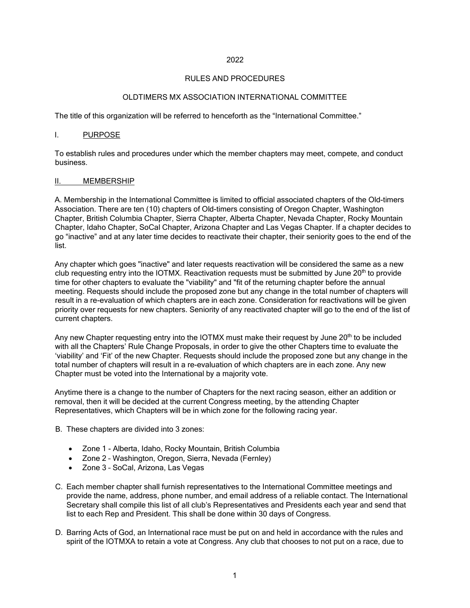# 2022

# RULES AND PROCEDURES

# OLDTIMERS MX ASSOCIATION INTERNATIONAL COMMITTEE

The title of this organization will be referred to henceforth as the "International Committee."

# I. PURPOSE

To establish rules and procedures under which the member chapters may meet, compete, and conduct business.

## II. MEMBERSHIP

A. Membership in the International Committee is limited to official associated chapters of the Old-timers Association. There are ten (10) chapters of Old-timers consisting of Oregon Chapter, Washington Chapter, British Columbia Chapter, Sierra Chapter, Alberta Chapter, Nevada Chapter, Rocky Mountain Chapter, Idaho Chapter, SoCal Chapter, Arizona Chapter and Las Vegas Chapter. If a chapter decides to go "inactive" and at any later time decides to reactivate their chapter, their seniority goes to the end of the list.

Any chapter which goes "inactive" and later requests reactivation will be considered the same as a new club requesting entry into the IOTMX. Reactivation requests must be submitted by June  $20<sup>th</sup>$  to provide time for other chapters to evaluate the "viability" and "fit of the returning chapter before the annual meeting. Requests should include the proposed zone but any change in the total number of chapters will result in a re-evaluation of which chapters are in each zone. Consideration for reactivations will be given priority over requests for new chapters. Seniority of any reactivated chapter will go to the end of the list of current chapters.

Any new Chapter requesting entry into the IOTMX must make their request by June  $20<sup>th</sup>$  to be included with all the Chapters' Rule Change Proposals, in order to give the other Chapters time to evaluate the 'viability' and 'Fit' of the new Chapter. Requests should include the proposed zone but any change in the total number of chapters will result in a re-evaluation of which chapters are in each zone. Any new Chapter must be voted into the International by a majority vote.

Anytime there is a change to the number of Chapters for the next racing season, either an addition or removal, then it will be decided at the current Congress meeting, by the attending Chapter Representatives, which Chapters will be in which zone for the following racing year.

- B. These chapters are divided into 3 zones:
	- Zone 1 Alberta, Idaho, Rocky Mountain, British Columbia
	- Zone 2 Washington, Oregon, Sierra, Nevada (Fernley)
	- Zone 3 SoCal, Arizona, Las Vegas
- C. Each member chapter shall furnish representatives to the International Committee meetings and provide the name, address, phone number, and email address of a reliable contact. The International Secretary shall compile this list of all club's Representatives and Presidents each year and send that list to each Rep and President. This shall be done within 30 days of Congress.
- D. Barring Acts of God, an International race must be put on and held in accordance with the rules and spirit of the IOTMXA to retain a vote at Congress. Any club that chooses to not put on a race, due to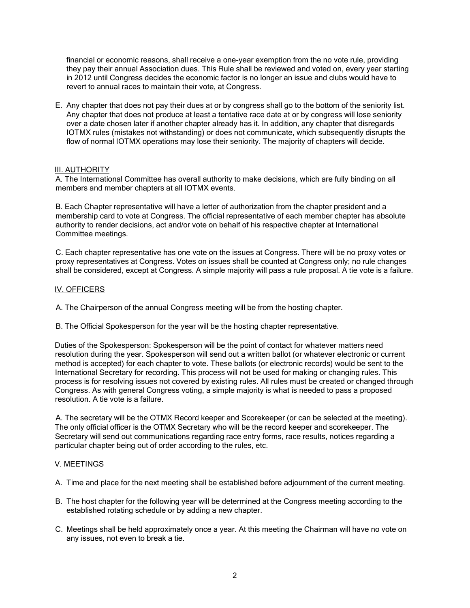financial or economic reasons, shall receive a one-year exemption from the no vote rule, providing they pay their annual Association dues. This Rule shall be reviewed and voted on, every year starting in 2012 until Congress decides the economic factor is no longer an issue and clubs would have to revert to annual races to maintain their vote, at Congress.

E. Any chapter that does not pay their dues at or by congress shall go to the bottom of the seniority list. Any chapter that does not produce at least a tentative race date at or by congress will lose seniority over a date chosen later if another chapter already has it. In addition, any chapter that disregards IOTMX rules (mistakes not withstanding) or does not communicate, which subsequently disrupts the flow of normal IOTMX operations may lose their seniority. The majority of chapters will decide.

# III. AUTHORITY

A. The International Committee has overall authority to make decisions, which are fully binding on all members and member chapters at all IOTMX events.

B. Each Chapter representative will have a letter of authorization from the chapter president and a membership card to vote at Congress. The official representative of each member chapter has absolute authority to render decisions, act and/or vote on behalf of his respective chapter at International Committee meetings.

C. Each chapter representative has one vote on the issues at Congress. There will be no proxy votes or proxy representatives at Congress. Votes on issues shall be counted at Congress only; no rule changes shall be considered, except at Congress. A simple majority will pass a rule proposal. A tie vote is a failure.

## IV. OFFICERS

A. The Chairperson of the annual Congress meeting will be from the hosting chapter.

B. The Official Spokesperson for the year will be the hosting chapter representative.

Duties of the Spokesperson: Spokesperson will be the point of contact for whatever matters need resolution during the year. Spokesperson will send out a written ballot (or whatever electronic or current method is accepted) for each chapter to vote. These ballots (or electronic records) would be sent to the International Secretary for recording. This process will not be used for making or changing rules. This process is for resolving issues not covered by existing rules. All rules must be created or changed through Congress. As with general Congress voting, a simple majority is what is needed to pass a proposed resolution. A tie vote is a failure.

A. The secretary will be the OTMX Record keeper and Scorekeeper (or can be selected at the meeting). The only official officer is the OTMX Secretary who will be the record keeper and scorekeeper. The Secretary will send out communications regarding race entry forms, race results, notices regarding a particular chapter being out of order according to the rules, etc.

## V. MEETINGS

A. Time and place for the next meeting shall be established before adjournment of the current meeting.

- B. The host chapter for the following year will be determined at the Congress meeting according to the established rotating schedule or by adding a new chapter.
- C. Meetings shall be held approximately once a year. At this meeting the Chairman will have no vote on any issues, not even to break a tie.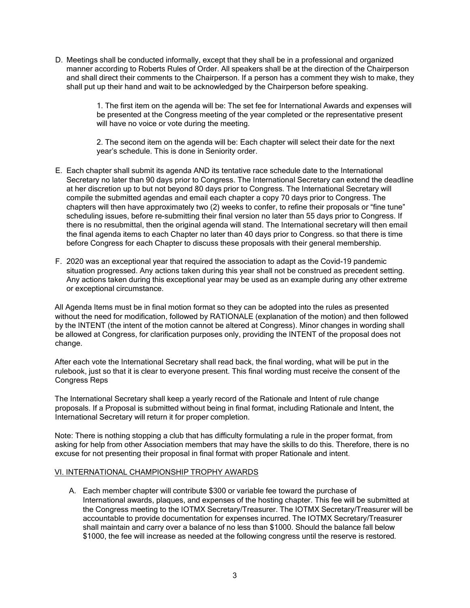D. Meetings shall be conducted informally, except that they shall be in a professional and organized manner according to Roberts Rules of Order. All speakers shall be at the direction of the Chairperson and shall direct their comments to the Chairperson. If a person has a comment they wish to make, they shall put up their hand and wait to be acknowledged by the Chairperson before speaking.

> 1. The first item on the agenda will be: The set fee for International Awards and expenses will be presented at the Congress meeting of the year completed or the representative present will have no voice or vote during the meeting.

2. The second item on the agenda will be: Each chapter will select their date for the next year's schedule. This is done in Seniority order.

- E. Each chapter shall submit its agenda AND its tentative race schedule date to the International Secretary no later than 90 days prior to Congress. The International Secretary can extend the deadline at her discretion up to but not beyond 80 days prior to Congress. The International Secretary will compile the submitted agendas and email each chapter a copy 70 days prior to Congress. The chapters will then have approximately two (2) weeks to confer, to refine their proposals or "fine tune" scheduling issues, before re-submitting their final version no later than 55 days prior to Congress. If there is no resubmittal, then the original agenda will stand. The International secretary will then email the final agenda items to each Chapter no later than 40 days prior to Congress. so that there is time before Congress for each Chapter to discuss these proposals with their general membership.
- F. 2020 was an exceptional year that required the association to adapt as the Covid-19 pandemic situation progressed. Any actions taken during this year shall not be construed as precedent setting. Any actions taken during this exceptional year may be used as an example during any other extreme or exceptional circumstance.

All Agenda Items must be in final motion format so they can be adopted into the rules as presented without the need for modification, followed by RATIONALE (explanation of the motion) and then followed by the INTENT (the intent of the motion cannot be altered at Congress). Minor changes in wording shall be allowed at Congress, for clarification purposes only, providing the INTENT of the proposal does not change.

After each vote the International Secretary shall read back, the final wording, what will be put in the rulebook, just so that it is clear to everyone present. This final wording must receive the consent of the Congress Reps

The International Secretary shall keep a yearly record of the Rationale and Intent of rule change proposals. If a Proposal is submitted without being in final format, including Rationale and Intent, the International Secretary will return it for proper completion.

Note: There is nothing stopping a club that has difficulty formulating a rule in the proper format, from asking for help from other Association members that may have the skills to do this. Therefore, there is no excuse for not presenting their proposal in final format with proper Rationale and intent.

## VI. INTERNATIONAL CHAMPIONSHIP TROPHY AWARDS

A. Each member chapter will contribute \$300 or variable fee toward the purchase of International awards, plaques, and expenses of the hosting chapter. This fee will be submitted at the Congress meeting to the IOTMX Secretary/Treasurer. The IOTMX Secretary/Treasurer will be accountable to provide documentation for expenses incurred. The IOTMX Secretary/Treasurer shall maintain and carry over a balance of no less than \$1000. Should the balance fall below \$1000, the fee will increase as needed at the following congress until the reserve is restored.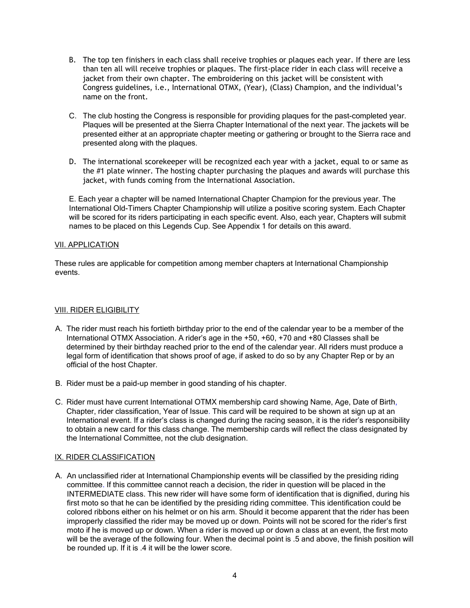- B. The top ten finishers in each class shall receive trophies or plaques each year. If there are less than ten all will receive trophies or plaques. The first-place rider in each class will receive a jacket from their own chapter. The embroidering on this jacket will be consistent with Congress guidelines, i.e., International OTMX, (Year), (Class) Champion, and the individual's name on the front.
- C. The club hosting the Congress is responsible for providing plaques for the past-completed year. Plaques will be presented at the Sierra Chapter International of the next year. The jackets will be presented either at an appropriate chapter meeting or gathering or brought to the Sierra race and presented along with the plaques.
- D. The international scorekeeper will be recognized each year with a jacket, equal to or same as the #1 plate winner. The hosting chapter purchasing the plaques and awards will purchase this jacket, with funds coming from the International Association.

E. Each year a chapter will be named International Chapter Champion for the previous year. The International Old-Timers Chapter Championship will utilize a positive scoring system. Each Chapter will be scored for its riders participating in each specific event. Also, each year, Chapters will submit names to be placed on this Legends Cup. See Appendix 1 for details on this award.

# VII. APPLICATION

These rules are applicable for competition among member chapters at International Championship events.

# VIII. RIDER ELIGIBILITY

- A. The rider must reach his fortieth birthday prior to the end of the calendar year to be a member of the International OTMX Association. A rider's age in the +50, +60, +70 and +80 Classes shall be determined by their birthday reached prior to the end of the calendar year. All riders must produce a legal form of identification that shows proof of age, if asked to do so by any Chapter Rep or by an official of the host Chapter.
- B. Rider must be a paid-up member in good standing of his chapter.
- C. Rider must have current International OTMX membership card showing Name, Age, Date of Birth, Chapter, rider classification, Year of Issue. This card will be required to be shown at sign up at an International event. If a rider's class is changed during the racing season, it is the rider's responsibility to obtain a new card for this class change. The membership cards will reflect the class designated by the International Committee, not the club designation.

## IX. RIDER CLASSIFICATION

A. An unclassified rider at International Championship events will be classified by the presiding riding committee. If this committee cannot reach a decision, the rider in question will be placed in the INTERMEDIATE class. This new rider will have some form of identification that is dignified, during his first moto so that he can be identified by the presiding riding committee. This identification could be colored ribbons either on his helmet or on his arm. Should it become apparent that the rider has been improperly classified the rider may be moved up or down. Points will not be scored for the rider's first moto if he is moved up or down. When a rider is moved up or down a class at an event, the first moto will be the average of the following four. When the decimal point is .5 and above, the finish position will be rounded up. If it is .4 it will be the lower score.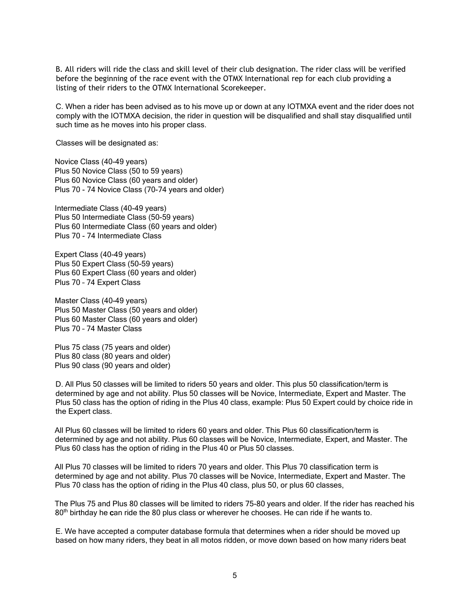B. All riders will ride the class and skill level of their club designation. The rider class will be verified before the beginning of the race event with the OTMX International rep for each club providing a listing of their riders to the OTMX International Scorekeeper.

C. When a rider has been advised as to his move up or down at any IOTMXA event and the rider does not comply with the IOTMXA decision, the rider in question will be disqualified and shall stay disqualified until such time as he moves into his proper class.

Classes will be designated as:

Novice Class (40-49 years) Plus 50 Novice Class (50 to 59 years) Plus 60 Novice Class (60 years and older) Plus 70 - 74 Novice Class (70-74 years and older)

Intermediate Class (40-49 years) Plus 50 Intermediate Class (50-59 years) Plus 60 Intermediate Class (60 years and older) Plus 70 - 74 Intermediate Class

Expert Class (40-49 years) Plus 50 Expert Class (50-59 years) Plus 60 Expert Class (60 years and older) Plus 70 – 74 Expert Class

Master Class (40-49 years) Plus 50 Master Class (50 years and older) Plus 60 Master Class (60 years and older) Plus 70 – 74 Master Class

Plus 75 class (75 years and older) Plus 80 class (80 years and older) Plus 90 class (90 years and older)

D. All Plus 50 classes will be limited to riders 50 years and older. This plus 50 classification/term is determined by age and not ability. Plus 50 classes will be Novice, Intermediate, Expert and Master. The Plus 50 class has the option of riding in the Plus 40 class, example: Plus 50 Expert could by choice ride in the Expert class.

All Plus 60 classes will be limited to riders 60 years and older. This Plus 60 classification/term is determined by age and not ability. Plus 60 classes will be Novice, Intermediate, Expert, and Master. The Plus 60 class has the option of riding in the Plus 40 or Plus 50 classes.

All Plus 70 classes will be limited to riders 70 years and older. This Plus 70 classification term is determined by age and not ability. Plus 70 classes will be Novice, Intermediate, Expert and Master. The Plus 70 class has the option of riding in the Plus 40 class, plus 50, or plus 60 classes,

The Plus 75 and Plus 80 classes will be limited to riders 75-80 years and older. If the rider has reached his 80<sup>th</sup> birthday he can ride the 80 plus class or wherever he chooses. He can ride if he wants to.

E. We have accepted a computer database formula that determines when a rider should be moved up based on how many riders, they beat in all motos ridden, or move down based on how many riders beat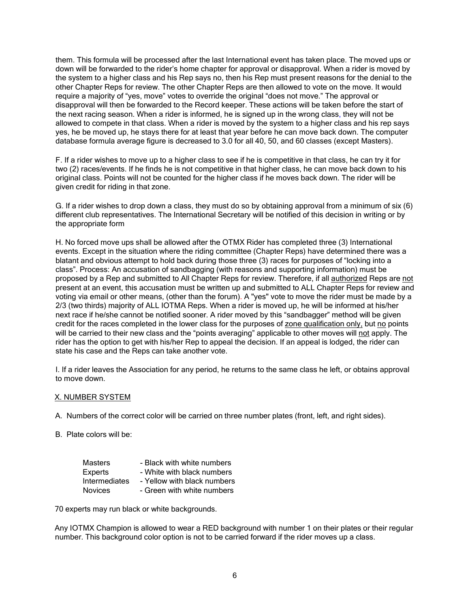them. This formula will be processed after the last International event has taken place. The moved ups or down will be forwarded to the rider's home chapter for approval or disapproval. When a rider is moved by the system to a higher class and his Rep says no, then his Rep must present reasons for the denial to the other Chapter Reps for review. The other Chapter Reps are then allowed to vote on the move. It would require a majority of "yes, move" votes to override the original "does not move." The approval or disapproval will then be forwarded to the Record keeper. These actions will be taken before the start of the next racing season. When a rider is informed, he is signed up in the wrong class, they will not be allowed to compete in that class. When a rider is moved by the system to a higher class and his rep says yes, he be moved up, he stays there for at least that year before he can move back down. The computer database formula average figure is decreased to 3.0 for all 40, 50, and 60 classes (except Masters).

F. If a rider wishes to move up to a higher class to see if he is competitive in that class, he can try it for two (2) races/events. If he finds he is not competitive in that higher class, he can move back down to his original class. Points will not be counted for the higher class if he moves back down. The rider will be given credit for riding in that zone.

G. If a rider wishes to drop down a class, they must do so by obtaining approval from a minimum of six (6) different club representatives. The International Secretary will be notified of this decision in writing or by the appropriate form

H. No forced move ups shall be allowed after the OTMX Rider has completed three (3) International events. Except in the situation where the riding committee (Chapter Reps) have determined there was a blatant and obvious attempt to hold back during those three (3) races for purposes of "locking into a class". Process: An accusation of sandbagging (with reasons and supporting information) must be proposed by a Rep and submitted to All Chapter Reps for review. Therefore, if all authorized Reps are not present at an event, this accusation must be written up and submitted to ALL Chapter Reps for review and voting via email or other means, (other than the forum). A "yes" vote to move the rider must be made by a 2/3 (two thirds) majority of ALL IOTMA Reps. When a rider is moved up, he will be informed at his/her next race if he/she cannot be notified sooner. A rider moved by this "sandbagger" method will be given credit for the races completed in the lower class for the purposes of zone qualification only, but no points will be carried to their new class and the "points averaging" applicable to other moves will not apply. The rider has the option to get with his/her Rep to appeal the decision. If an appeal is lodged, the rider can state his case and the Reps can take another vote.

I. If a rider leaves the Association for any period, he returns to the same class he left, or obtains approval to move down.

## X. NUMBER SYSTEM

A. Numbers of the correct color will be carried on three number plates (front, left, and right sides).

B. Plate colors will be:

| <b>Masters</b>       | - Black with white numbers  |
|----------------------|-----------------------------|
| Experts              | - White with black numbers  |
| <b>Intermediates</b> | - Yellow with black numbers |
| <b>Novices</b>       | - Green with white numbers  |

70 experts may run black or white backgrounds.

Any IOTMX Champion is allowed to wear a RED background with number 1 on their plates or their regular number. This background color option is not to be carried forward if the rider moves up a class.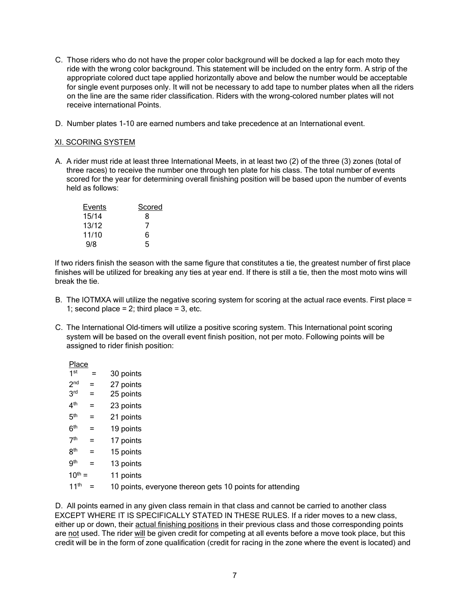- C. Those riders who do not have the proper color background will be docked a lap for each moto they ride with the wrong color background. This statement will be included on the entry form. A strip of the appropriate colored duct tape applied horizontally above and below the number would be acceptable for single event purposes only. It will not be necessary to add tape to number plates when all the riders on the line are the same rider classification. Riders with the wrong-colored number plates will not receive international Points.
- D. Number plates 1-10 are earned numbers and take precedence at an International event.

## XI. SCORING SYSTEM

A. A rider must ride at least three International Meets, in at least two (2) of the three (3) zones (total of three races) to receive the number one through ten plate for his class. The total number of events scored for the year for determining overall finishing position will be based upon the number of events held as follows:

| Events | Scored |
|--------|--------|
| 15/14  | 8      |
| 13/12  | 7      |
| 11/10  | 6      |
| 9/8    | 5      |

If two riders finish the season with the same figure that constitutes a tie, the greatest number of first place finishes will be utilized for breaking any ties at year end. If there is still a tie, then the most moto wins will break the tie.

- B. The IOTMXA will utilize the negative scoring system for scoring at the actual race events. First place = 1; second place  $= 2$ ; third place  $= 3$ , etc.
- C. The International Old-timers will utilize a positive scoring system. This International point scoring system will be based on the overall event finish position, not per moto. Following points will be assigned to rider finish position:

Place

| 1 <sup>st</sup>  | $=$ | 30 points                                                |
|------------------|-----|----------------------------------------------------------|
| 2 <sub>nd</sub>  | $=$ | 27 points                                                |
| 3 <sup>rd</sup>  | $=$ | 25 points                                                |
| 4 <sup>th</sup>  | $=$ | 23 points                                                |
| 5 <sup>th</sup>  | $=$ | 21 points                                                |
| 6 <sup>th</sup>  | $=$ | 19 points                                                |
| 7 <sup>th</sup>  | $=$ | 17 points                                                |
| 8 <sup>th</sup>  | $=$ | 15 points                                                |
| .9 <sup>th</sup> | $=$ | 13 points                                                |
| $10^{th} =$      |     | 11 points                                                |
| 11 <sup>th</sup> |     | 10 points, everyone thereon gets 10 points for attending |
|                  |     |                                                          |

D. All points earned in any given class remain in that class and cannot be carried to another class EXCEPT WHERE IT IS SPECIFICALLY STATED IN THESE RULES. If a rider moves to a new class, either up or down, their actual finishing positions in their previous class and those corresponding points are not used. The rider will be given credit for competing at all events before a move took place, but this credit will be in the form of zone qualification (credit for racing in the zone where the event is located) and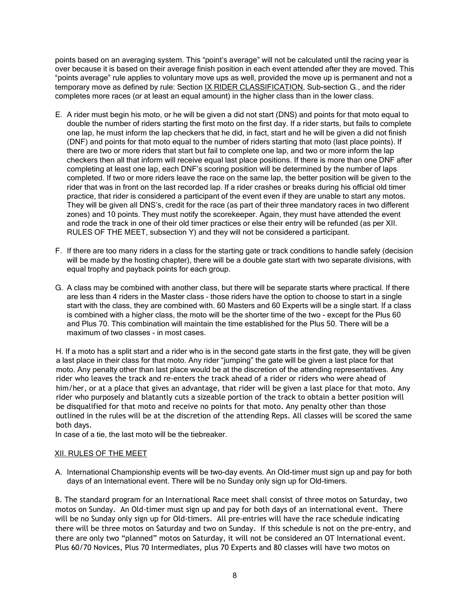points based on an averaging system. This "point's average" will not be calculated until the racing year is over because it is based on their average finish position in each event attended after they are moved. This "points average" rule applies to voluntary move ups as well, provided the move up is permanent and not a temporary move as defined by rule: Section IX RIDER CLASSIFICATION, Sub-section G., and the rider completes more races (or at least an equal amount) in the higher class than in the lower class.

- E. A rider must begin his moto, or he will be given a did not start (DNS) and points for that moto equal to double the number of riders starting the first moto on the first day. If a rider starts, but fails to complete one lap, he must inform the lap checkers that he did, in fact, start and he will be given a did not finish (DNF) and points for that moto equal to the number of riders starting that moto (last place points). If there are two or more riders that start but fail to complete one lap, and two or more inform the lap checkers then all that inform will receive equal last place positions. If there is more than one DNF after completing at least one lap, each DNF's scoring position will be determined by the number of laps completed. If two or more riders leave the race on the same lap, the better position will be given to the rider that was in front on the last recorded lap. If a rider crashes or breaks during his official old timer practice, that rider is considered a participant of the event even if they are unable to start any motos. They will be given all DNS's, credit for the race (as part of their three mandatory races in two different zones) and 10 points. They must notify the scorekeeper. Again, they must have attended the event and rode the track in one of their old timer practices or else their entry will be refunded (as per XII. RULES OF THE MEET, subsection Y) and they will not be considered a participant.
- F. If there are too many riders in a class for the starting gate or track conditions to handle safely (decision will be made by the hosting chapter), there will be a double gate start with two separate divisions, with equal trophy and payback points for each group.
- G. A class may be combined with another class, but there will be separate starts where practical. If there are less than 4 riders in the Master class – those riders have the option to choose to start in a single start with the class, they are combined with. 60 Masters and 60 Experts will be a single start. If a class is combined with a higher class, the moto will be the shorter time of the two - except for the Plus 60 and Plus 70. This combination will maintain the time established for the Plus 50. There will be a maximum of two classes - in most cases.

H. If a moto has a split start and a rider who is in the second gate starts in the first gate, they will be given a last place in their class for that moto. Any rider "jumping" the gate will be given a last place for that moto. Any penalty other than last place would be at the discretion of the attending representatives. Any rider who leaves the track and re-enters the track ahead of a rider or riders who were ahead of him/her, or at a place that gives an advantage, that rider will be given a last place for that moto. Any rider who purposely and blatantly cuts a sizeable portion of the track to obtain a better position will be disqualified for that moto and receive no points for that moto. Any penalty other than those outlined in the rules will be at the discretion of the attending Reps. All classes will be scored the same both days.

In case of a tie, the last moto will be the tiebreaker.

# XII. RULES OF THE MEET

A. International Championship events will be two-day events. An Old-timer must sign up and pay for both days of an International event. There will be no Sunday only sign up for Old-timers.

B. The standard program for an International Race meet shall consist of three motos on Saturday, two motos on Sunday. An Old-timer must sign up and pay for both days of an international event. There will be no Sunday only sign up for Old-timers. All pre-entries will have the race schedule indicating there will be three motos on Saturday and two on Sunday. If this schedule is not on the pre-entry, and there are only two "planned" motos on Saturday, it will not be considered an OT International event. Plus 60/70 Novices, Plus 70 Intermediates, plus 70 Experts and 80 classes will have two motos on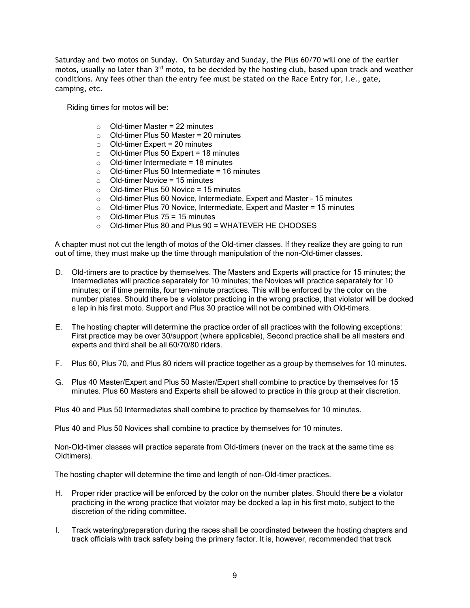Saturday and two motos on Sunday. On Saturday and Sunday, the Plus 60/70 will one of the earlier motos, usually no later than 3<sup>rd</sup> moto, to be decided by the hosting club, based upon track and weather conditions. Any fees other than the entry fee must be stated on the Race Entry for, i.e., gate, camping, etc.

Riding times for motos will be:

- $\circ$  Old-timer Master = 22 minutes
- $\circ$  Old-timer Plus 50 Master = 20 minutes
- $\circ$  Old-timer Expert = 20 minutes
- $\circ$  Old-timer Plus 50 Expert = 18 minutes<br>  $\circ$  Old-timer Intermediate = 18 minutes
- Old-timer Intermediate =  $18$  minutes
- $\circ$  Old-timer Plus 50 Intermediate = 16 minutes
- Old-timer Novice = 15 minutes<br>○ Old-timer Plus 50 Novice = 15
- $\circ$  Old-timer Plus 50 Novice = 15 minutes<br>  $\circ$  Old-timer Plus 60 Novice, Intermediate
- Old-timer Plus 60 Novice, Intermediate, Expert and Master 15 minutes
- o Old-timer Plus 70 Novice, Intermediate, Expert and Master = 15 minutes
- $\circ$  Old-timer Plus 75 = 15 minutes
- $\circ$  Old-timer Plus 80 and Plus 90 = WHATEVER HE CHOOSES

A chapter must not cut the length of motos of the Old-timer classes. If they realize they are going to run out of time, they must make up the time through manipulation of the non-Old-timer classes.

- D. Old-timers are to practice by themselves. The Masters and Experts will practice for 15 minutes; the Intermediates will practice separately for 10 minutes; the Novices will practice separately for 10 minutes; or if time permits, four ten-minute practices. This will be enforced by the color on the number plates. Should there be a violator practicing in the wrong practice, that violator will be docked a lap in his first moto. Support and Plus 30 practice will not be combined with Old-timers.
- E. The hosting chapter will determine the practice order of all practices with the following exceptions: First practice may be over 30/support (where applicable), Second practice shall be all masters and experts and third shall be all 60/70/80 riders.
- F. Plus 60, Plus 70, and Plus 80 riders will practice together as a group by themselves for 10 minutes.
- G. Plus 40 Master/Expert and Plus 50 Master/Expert shall combine to practice by themselves for 15 minutes. Plus 60 Masters and Experts shall be allowed to practice in this group at their discretion.

Plus 40 and Plus 50 Intermediates shall combine to practice by themselves for 10 minutes.

Plus 40 and Plus 50 Novices shall combine to practice by themselves for 10 minutes.

Non-Old-timer classes will practice separate from Old-timers (never on the track at the same time as Oldtimers).

The hosting chapter will determine the time and length of non-Old-timer practices.

- H. Proper rider practice will be enforced by the color on the number plates. Should there be a violator practicing in the wrong practice that violator may be docked a lap in his first moto, subject to the discretion of the riding committee.
- I. Track watering/preparation during the races shall be coordinated between the hosting chapters and track officials with track safety being the primary factor. It is, however, recommended that track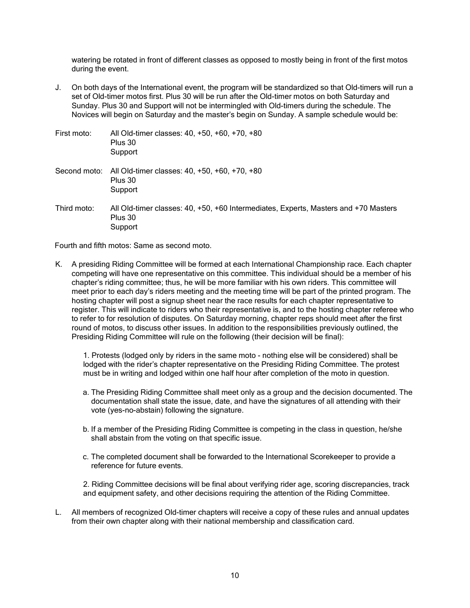watering be rotated in front of different classes as opposed to mostly being in front of the first motos during the event.

J. On both days of the International event, the program will be standardized so that Old-timers will run a set of Old-timer motos first. Plus 30 will be run after the Old-timer motos on both Saturday and Sunday. Plus 30 and Support will not be intermingled with Old-timers during the schedule. The Novices will begin on Saturday and the master's begin on Sunday. A sample schedule would be:

| First moto:  | All Old-timer classes: 40, +50, +60, +70, +80<br>Plus 30<br>Support                                       |
|--------------|-----------------------------------------------------------------------------------------------------------|
| Second moto: | All Old-timer classes: 40, +50, +60, +70, +80<br>Plus 30<br>Support                                       |
| Third moto:  | All Old-timer classes: 40, +50, +60 Intermediates, Experts, Masters and +70 Masters<br>Plus 30<br>Support |

Fourth and fifth motos: Same as second moto.

K. A presiding Riding Committee will be formed at each International Championship race. Each chapter competing will have one representative on this committee. This individual should be a member of his chapter's riding committee; thus, he will be more familiar with his own riders. This committee will meet prior to each day's riders meeting and the meeting time will be part of the printed program. The hosting chapter will post a signup sheet near the race results for each chapter representative to register. This will indicate to riders who their representative is, and to the hosting chapter referee who to refer to for resolution of disputes. On Saturday morning, chapter reps should meet after the first round of motos, to discuss other issues. In addition to the responsibilities previously outlined, the Presiding Riding Committee will rule on the following (their decision will be final):

1. Protests (lodged only by riders in the same moto - nothing else will be considered) shall be lodged with the rider's chapter representative on the Presiding Riding Committee. The protest must be in writing and lodged within one half hour after completion of the moto in question.

- a. The Presiding Riding Committee shall meet only as a group and the decision documented. The documentation shall state the issue, date, and have the signatures of all attending with their vote (yes-no-abstain) following the signature.
- b. If a member of the Presiding Riding Committee is competing in the class in question, he/she shall abstain from the voting on that specific issue.
- c. The completed document shall be forwarded to the International Scorekeeper to provide a reference for future events.

2. Riding Committee decisions will be final about verifying rider age, scoring discrepancies, track and equipment safety, and other decisions requiring the attention of the Riding Committee.

L. All members of recognized Old-timer chapters will receive a copy of these rules and annual updates from their own chapter along with their national membership and classification card.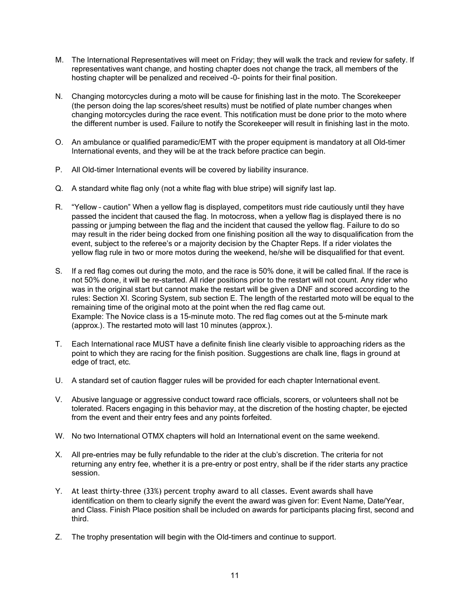- M. The International Representatives will meet on Friday; they will walk the track and review for safety. If representatives want change, and hosting chapter does not change the track, all members of the hosting chapter will be penalized and received -0- points for their final position.
- N. Changing motorcycles during a moto will be cause for finishing last in the moto. The Scorekeeper (the person doing the lap scores/sheet results) must be notified of plate number changes when changing motorcycles during the race event. This notification must be done prior to the moto where the different number is used. Failure to notify the Scorekeeper will result in finishing last in the moto.
- O. An ambulance or qualified paramedic/EMT with the proper equipment is mandatory at all Old-timer International events, and they will be at the track before practice can begin.
- P. All Old-timer International events will be covered by liability insurance.
- Q. A standard white flag only (not a white flag with blue stripe) will signify last lap.
- R. "Yellow caution" When a yellow flag is displayed, competitors must ride cautiously until they have passed the incident that caused the flag. In motocross, when a yellow flag is displayed there is no passing or jumping between the flag and the incident that caused the yellow flag. Failure to do so may result in the rider being docked from one finishing position all the way to disqualification from the event, subject to the referee's or a majority decision by the Chapter Reps. If a rider violates the yellow flag rule in two or more motos during the weekend, he/she will be disqualified for that event.
- S. If a red flag comes out during the moto, and the race is 50% done, it will be called final. If the race is not 50% done, it will be re-started. All rider positions prior to the restart will not count. Any rider who was in the original start but cannot make the restart will be given a DNF and scored according to the rules: Section XI. Scoring System, sub section E. The length of the restarted moto will be equal to the remaining time of the original moto at the point when the red flag came out. Example: The Novice class is a 15-minute moto. The red flag comes out at the 5-minute mark (approx.). The restarted moto will last 10 minutes (approx.).
- T. Each International race MUST have a definite finish line clearly visible to approaching riders as the point to which they are racing for the finish position. Suggestions are chalk line, flags in ground at edge of tract, etc.
- U. A standard set of caution flagger rules will be provided for each chapter International event.
- V. Abusive language or aggressive conduct toward race officials, scorers, or volunteers shall not be tolerated. Racers engaging in this behavior may, at the discretion of the hosting chapter, be ejected from the event and their entry fees and any points forfeited.
- W. No two International OTMX chapters will hold an International event on the same weekend.
- X. All pre-entries may be fully refundable to the rider at the club's discretion. The criteria for not returning any entry fee, whether it is a pre-entry or post entry, shall be if the rider starts any practice session.
- Y. At least thirty-three (33%) percent trophy award to all classes. Event awards shall have identification on them to clearly signify the event the award was given for: Event Name, Date/Year, and Class. Finish Place position shall be included on awards for participants placing first, second and third.
- Z. The trophy presentation will begin with the Old-timers and continue to support.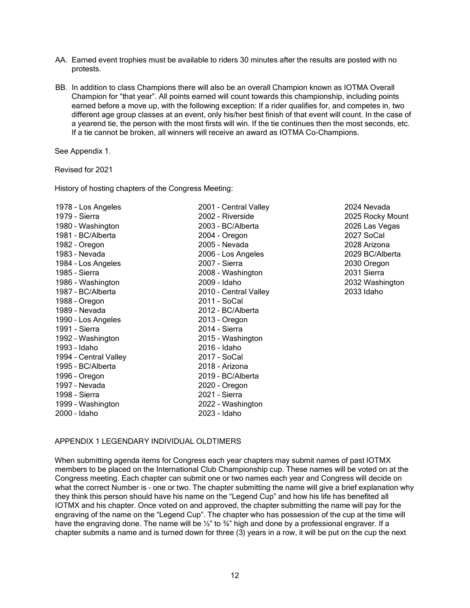- AA. Earned event trophies must be available to riders 30 minutes after the results are posted with no protests.
- BB. In addition to class Champions there will also be an overall Champion known as IOTMA Overall Champion for "that year". All points earned will count towards this championship, including points earned before a move up, with the following exception: If a rider qualifies for, and competes in, two different age group classes at an event, only his/her best finish of that event will count. In the case of a yearend tie, the person with the most firsts will win. If the tie continues then the most seconds, etc. If a tie cannot be broken, all winners will receive an award as IOTMA Co-Champions.

See Appendix 1.

Revised for 2021

History of hosting chapters of the Congress Meeting:

| 1978 - Los Angeles    |
|-----------------------|
| 1979 - Sierra         |
| 1980 - Washington     |
| 1981 - BC/Alberta     |
| 1982 - Oregon         |
| 1983 - Nevada         |
| 1984 - Los Angeles    |
| 1985 - Sierra         |
| 1986 - Washington     |
| 1987 - BC/Alberta     |
| 1988 - Oregon         |
| 1989 - Nevada         |
| 1990 - Los Angeles    |
| 1991 - Sierra         |
| 1992 - Washington     |
| 1993 - Idaho          |
| 1994 - Central Valley |
| 1995 - BC/Alberta     |
| 1996 - Oregon         |
| 1997 - Nevada         |
| 1998 - Sierra         |
| 1999 - Washington     |
| 2000 - Idaho          |

1978 - Los Angeles 2001 – Central Valley 2024 Nevada 1979 - Sierra 2002 - Riverside 2025 Rocky Mount 1980 – Washington 2003 – BC/Alberta 2026 Las Vegas 2004 - Oregon 2007 SoCal 1982 – Oregon 2005 - Nevada 2028 Arizona 1983 – Nevada 2006 – Los Angeles 2029 BC/Alberta 1984 – Los Angeles 2007 - Sierra 2030 Oregon 1985 – Sierra 2008 - Washington 2031 Sierra 1986 - Washington 2009 - Idaho 2032 Washington 2010 - Central Valley 2033 Idaho 2011 - SoCal 2012 - BC/Alberta 2013 - Oregon 2014 - Sierra 2015 - Washington 2016 - Idaho  $2017 -$  SoCal 2018 - Arizona 2019 - BC/Alberta 2020 - Oregon 2021 - Sierra 1999 – Washington 2022 - Washington 2000 – Idaho 2023 - Idaho

## APPENDIX 1 LEGENDARY INDIVIDUAL OLDTIMERS

When submitting agenda items for Congress each year chapters may submit names of past IOTMX members to be placed on the International Club Championship cup. These names will be voted on at the Congress meeting. Each chapter can submit one or two names each year and Congress will decide on what the correct Number is – one or two. The chapter submitting the name will give a brief explanation why they think this person should have his name on the "Legend Cup" and how his life has benefited all IOTMX and his chapter. Once voted on and approved, the chapter submitting the name will pay for the engraving of the name on the "Legend Cup". The chapter who has possession of the cup at the time will have the engraving done. The name will be 1/2" to 3/4" high and done by a professional engraver. If a chapter submits a name and is turned down for three (3) years in a row, it will be put on the cup the next